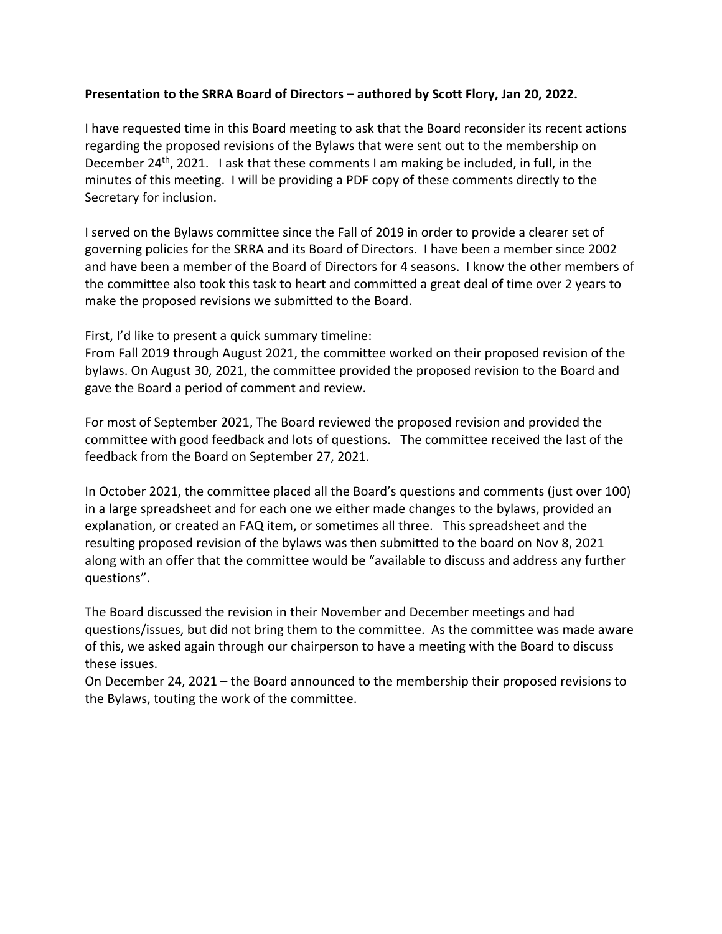## **Presentation to the SRRA Board of Directors – authored by Scott Flory, Jan 20, 2022.**

I have requested time in this Board meeting to ask that the Board reconsider its recent actions regarding the proposed revisions of the Bylaws that were sent out to the membership on December 24<sup>th</sup>, 2021. I ask that these comments I am making be included, in full, in the minutes of this meeting. I will be providing a PDF copy of these comments directly to the Secretary for inclusion.

I served on the Bylaws committee since the Fall of 2019 in order to provide a clearer set of governing policies for the SRRA and its Board of Directors. I have been a member since 2002 and have been a member of the Board of Directors for 4 seasons. I know the other members of the committee also took this task to heart and committed a great deal of time over 2 years to make the proposed revisions we submitted to the Board.

## First, I'd like to present a quick summary timeline:

From Fall 2019 through August 2021, the committee worked on their proposed revision of the bylaws. On August 30, 2021, the committee provided the proposed revision to the Board and gave the Board a period of comment and review.

For most of September 2021, The Board reviewed the proposed revision and provided the committee with good feedback and lots of questions. The committee received the last of the feedback from the Board on September 27, 2021.

In October 2021, the committee placed all the Board's questions and comments (just over 100) in a large spreadsheet and for each one we either made changes to the bylaws, provided an explanation, or created an FAQ item, or sometimes all three. This spreadsheet and the resulting proposed revision of the bylaws was then submitted to the board on Nov 8, 2021 along with an offer that the committee would be "available to discuss and address any further questions".

The Board discussed the revision in their November and December meetings and had questions/issues, but did not bring them to the committee. As the committee was made aware of this, we asked again through our chairperson to have a meeting with the Board to discuss these issues.

On December 24, 2021 – the Board announced to the membership their proposed revisions to the Bylaws, touting the work of the committee.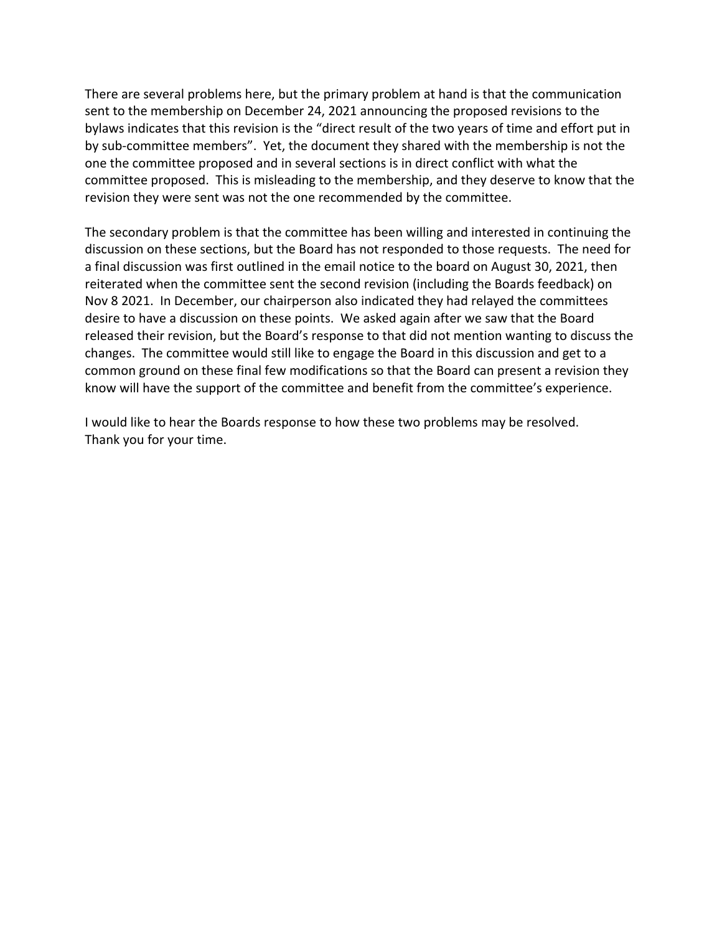There are several problems here, but the primary problem at hand is that the communication sent to the membership on December 24, 2021 announcing the proposed revisions to the bylaws indicates that this revision is the "direct result of the two years of time and effort put in by sub-committee members". Yet, the document they shared with the membership is not the one the committee proposed and in several sections is in direct conflict with what the committee proposed. This is misleading to the membership, and they deserve to know that the revision they were sent was not the one recommended by the committee.

The secondary problem is that the committee has been willing and interested in continuing the discussion on these sections, but the Board has not responded to those requests. The need for a final discussion was first outlined in the email notice to the board on August 30, 2021, then reiterated when the committee sent the second revision (including the Boards feedback) on Nov 8 2021. In December, our chairperson also indicated they had relayed the committees desire to have a discussion on these points. We asked again after we saw that the Board released their revision, but the Board's response to that did not mention wanting to discuss the changes. The committee would still like to engage the Board in this discussion and get to a common ground on these final few modifications so that the Board can present a revision they know will have the support of the committee and benefit from the committee's experience.

I would like to hear the Boards response to how these two problems may be resolved. Thank you for your time.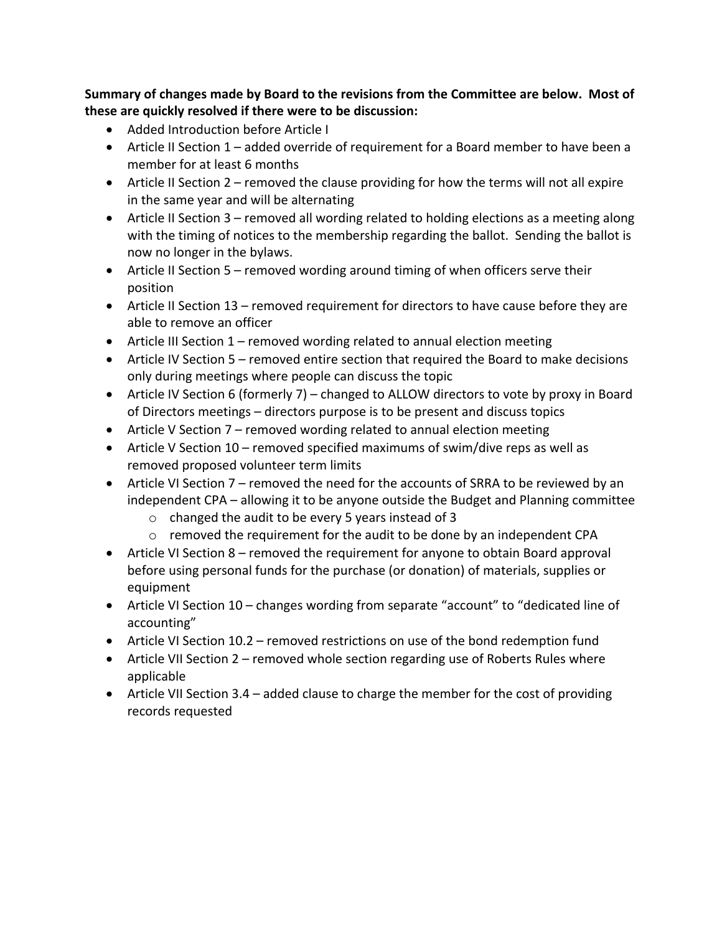**Summary of changes made by Board to the revisions from the Committee are below. Most of these are quickly resolved if there were to be discussion:**

- Added Introduction before Article I
- Article II Section 1 added override of requirement for a Board member to have been a member for at least 6 months
- Article II Section 2 removed the clause providing for how the terms will not all expire in the same year and will be alternating
- Article II Section 3 removed all wording related to holding elections as a meeting along with the timing of notices to the membership regarding the ballot. Sending the ballot is now no longer in the bylaws.
- Article II Section 5 removed wording around timing of when officers serve their position
- Article II Section 13 removed requirement for directors to have cause before they are able to remove an officer
- Article III Section 1 removed wording related to annual election meeting
- Article IV Section 5 removed entire section that required the Board to make decisions only during meetings where people can discuss the topic
- Article IV Section 6 (formerly 7) changed to ALLOW directors to vote by proxy in Board of Directors meetings – directors purpose is to be present and discuss topics
- Article V Section 7 removed wording related to annual election meeting
- Article V Section 10 removed specified maximums of swim/dive reps as well as removed proposed volunteer term limits
- Article VI Section 7 removed the need for the accounts of SRRA to be reviewed by an independent CPA – allowing it to be anyone outside the Budget and Planning committee
	- o changed the audit to be every 5 years instead of 3
	- $\circ$  removed the requirement for the audit to be done by an independent CPA
- Article VI Section 8 removed the requirement for anyone to obtain Board approval before using personal funds for the purchase (or donation) of materials, supplies or equipment
- Article VI Section 10 changes wording from separate "account" to "dedicated line of accounting"
- Article VI Section 10.2 removed restrictions on use of the bond redemption fund
- Article VII Section 2 removed whole section regarding use of Roberts Rules where applicable
- Article VII Section 3.4 added clause to charge the member for the cost of providing records requested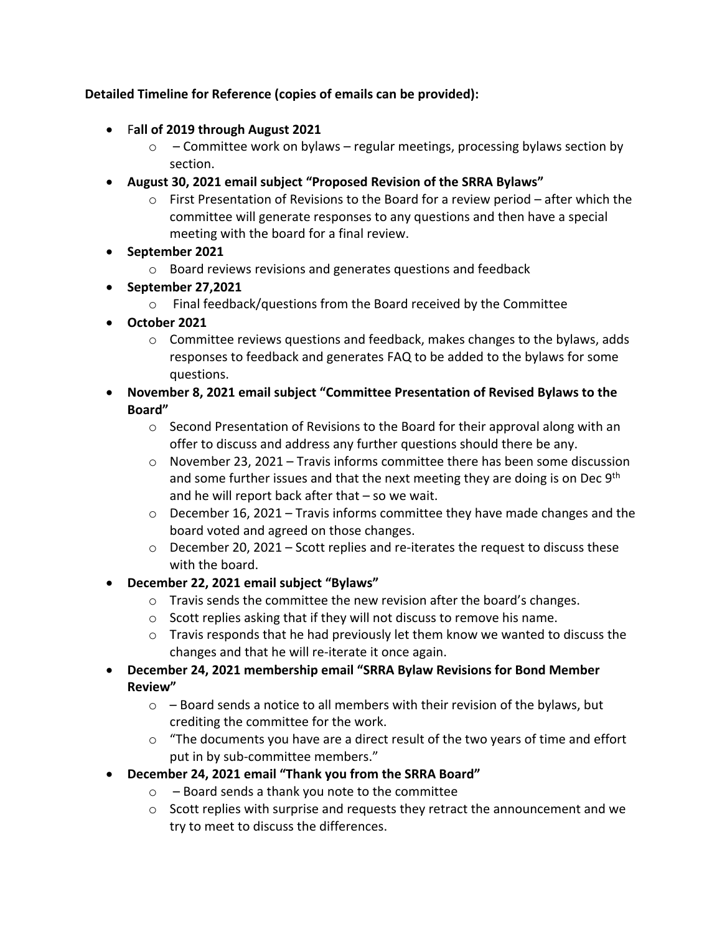## **Detailed Timeline for Reference (copies of emails can be provided):**

- F**all of 2019 through August 2021**
	- $\circ$  Committee work on bylaws regular meetings, processing bylaws section by section.
- **August 30, 2021 email subject "Proposed Revision of the SRRA Bylaws"**
	- $\circ$  First Presentation of Revisions to the Board for a review period after which the committee will generate responses to any questions and then have a special meeting with the board for a final review.
- **September 2021**
	- o Board reviews revisions and generates questions and feedback
- **September 27,2021**
	- o Final feedback/questions from the Board received by the Committee
- **October 2021**
	- $\circ$  Committee reviews questions and feedback, makes changes to the bylaws, adds responses to feedback and generates FAQ to be added to the bylaws for some questions.
- **November 8, 2021 email subject "Committee Presentation of Revised Bylaws to the Board"**
	- o Second Presentation of Revisions to the Board for their approval along with an offer to discuss and address any further questions should there be any.
	- $\circ$  November 23, 2021 Travis informs committee there has been some discussion and some further issues and that the next meeting they are doing is on Dec  $9<sup>th</sup>$ and he will report back after that – so we wait.
	- $\circ$  December 16, 2021 Travis informs committee they have made changes and the board voted and agreed on those changes.
	- $\circ$  December 20, 2021 Scott replies and re-iterates the request to discuss these with the board.
- **December 22, 2021 email subject "Bylaws"**
	- $\circ$  Travis sends the committee the new revision after the board's changes.
	- o Scott replies asking that if they will not discuss to remove his name.
	- $\circ$  Travis responds that he had previously let them know we wanted to discuss the changes and that he will re-iterate it once again.
- **December 24, 2021 membership email "SRRA Bylaw Revisions for Bond Member Review"**
	- $\circ$  Board sends a notice to all members with their revision of the bylaws, but crediting the committee for the work.
	- o "The documents you have are a direct result of the two years of time and effort put in by sub-committee members."
- **December 24, 2021 email "Thank you from the SRRA Board"**
	- $\circ$  Board sends a thank you note to the committee
	- $\circ$  Scott replies with surprise and requests they retract the announcement and we try to meet to discuss the differences.